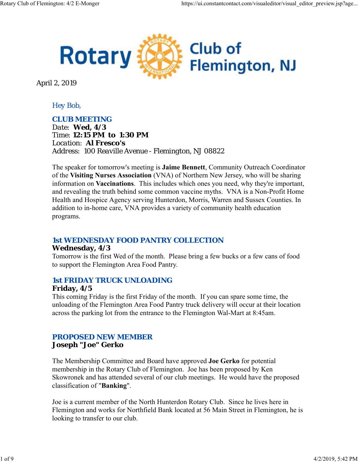

April 2, 2019

## *Hey Bob,*

#### *CLUB MEETING*

*Date: Wed, 4/3 Time: 12:15 PM to 1:30 PM Location: Al Fresco's Address: 100 Reaville Avenue - Flemington, NJ 08822*

The speaker for tomorrow's meeting is **Jaime Bennett**, Community Outreach Coordinator of the **Visiting Nurses Association** (VNA) of Northern New Jersey, who will be sharing information on **Vaccinations**. This includes which ones you need, why they're important, and revealing the truth behind some common vaccine myths. VNA is a Non-Profit Home Health and Hospice Agency serving Hunterdon, Morris, Warren and Sussex Counties. In addition to in-home care, VNA provides a variety of community health education programs.

## *1st WEDNESDAY FOOD PANTRY COLLECTION*

#### **Wednesday, 4/3**

Tomorrow is the first Wed of the month. Please bring a few bucks or a few cans of food to support the Flemington Area Food Pantry.

## *1st FRIDAY TRUCK UNLOADING*

## **Friday, 4/5**

This coming Friday is the first Friday of the month. If you can spare some time, the unloading of the Flemington Area Food Pantry truck delivery will occur at their location across the parking lot from the entrance to the Flemington Wal-Mart at 8:45am.

# *PROPOSED NEW MEMBER*

**Joseph "Joe" Gerko**

The Membership Committee and Board have approved **Joe Gerko** for potential membership in the Rotary Club of Flemington. Joe has been proposed by Ken Skowronek and has attended several of our club meetings. He would have the proposed classification of "**Banking**".

Joe is a current member of the North Hunterdon Rotary Club. Since he lives here in Flemington and works for Northfield Bank located at 56 Main Street in Flemington, he is looking to transfer to our club.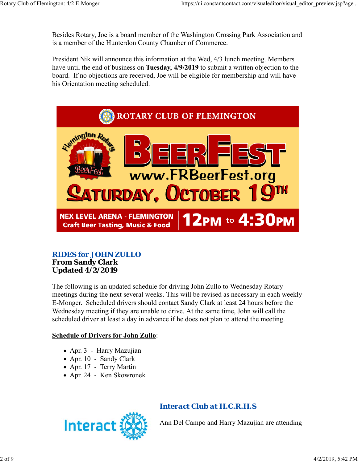Besides Rotary, Joe is a board member of the Washington Crossing Park Association and is a member of the Hunterdon County Chamber of Commerce.

President Nik will announce this information at the Wed, 4/3 lunch meeting. Members have until the end of business on **Tuesday, 4/9/2019** to submit a written objection to the board. If no objections are received, Joe will be eligible for membership and will have his Orientation meeting scheduled.



## *RIDES for JOHN ZULLO* **From Sandy Clark Updated 4/2/2019**

The following is an updated schedule for driving John Zullo to Wednesday Rotary meetings during the next several weeks. This will be revised as necessary in each weekly E-Monger. Scheduled drivers should contact Sandy Clark at least 24 hours before the Wednesday meeting if they are unable to drive. At the same time, John will call the scheduled driver at least a day in advance if he does not plan to attend the meeting.

## **Schedule of Drivers for John Zullo**:

- Apr. 3 Harry Mazujian
- Apr. 10 Sandy Clark
- Apr. 17 Terry Martin
- Apr. 24 Ken Skowronek



# *Interact Club at H.C.R.H.S*

Ann Del Campo and Harry Mazujian are attending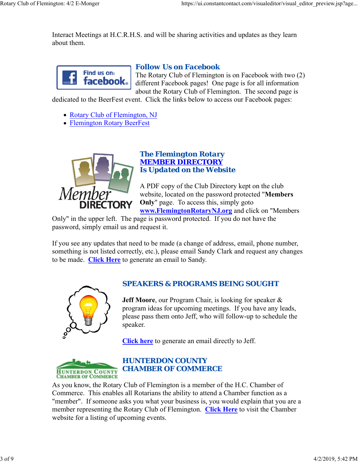Interact Meetings at H.C.R.H.S. and will be sharing activities and updates as they learn about them.



#### *Follow Us on Facebook*

The Rotary Club of Flemington is on Facebook with two (2) different Facebook pages! One page is for all information about the Rotary Club of Flemington. The second page is

dedicated to the BeerFest event. Click the links below to access our Facebook pages:

- Rotary Club of Flemington, NJ
- Flemington Rotary BeerFest



#### *The Flemington Rotary MEMBER DIRECTORY Is Updated on the Website*

A PDF copy of the Club Directory kept on the club website, located on the password protected "**Members Only**" page. To access this, simply goto **www.FlemingtonRotaryNJ.org** and click on "Members

Only" in the upper left. The page is password protected. If you do not have the password, simply email us and request it.

If you see any updates that need to be made (a change of address, email, phone number, something is not listed correctly, etc.), please email Sandy Clark and request any changes to be made. **Click Here** to generate an email to Sandy.



# *SPEAKERS & PROGRAMS BEING SOUGHT*

**Jeff Moore**, our Program Chair, is looking for speaker & program ideas for upcoming meetings. If you have any leads, please pass them onto Jeff, who will follow-up to schedule the speaker.

**Click here** to generate an email directly to Jeff.



# *HUNTERDON COUNTY CHAMBER OF COMMERCE*

As you know, the Rotary Club of Flemington is a member of the H.C. Chamber of Commerce. This enables all Rotarians the ability to attend a Chamber function as a "member". If someone asks you what your business is, you would explain that you are a member representing the Rotary Club of Flemington. **Click Here** to visit the Chamber website for a listing of upcoming events.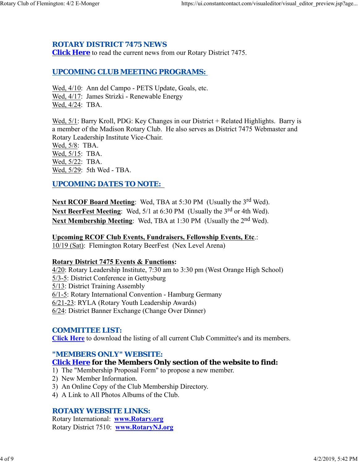## *ROTARY DISTRICT 7475 NEWS*

**Click Here** to read the current news from our Rotary District 7475.

## *UPCOMING CLUB MEETING PROGRAMS:*

Wed, 4/10: Ann del Campo - PETS Update, Goals, etc. Wed, 4/17: James Strizki - Renewable Energy Wed, 4/24: TBA.

Wed, 5/1: Barry Kroll, PDG: Key Changes in our District + Related Highlights. Barry is a member of the Madison Rotary Club. He also serves as District 7475 Webmaster and Rotary Leadership Institute Vice-Chair.

Wed, 5/8: TBA. Wed, 5/15: TBA. Wed, 5/22: TBA. Wed, 5/29: 5th Wed - TBA.

## *UPCOMING DATES TO NOTE:*

**Next RCOF Board Meeting:** Wed, TBA at 5:30 PM (Usually the 3<sup>rd</sup> Wed). Next BeerFest Meeting: Wed, 5/1 at 6:30 PM (Usually the 3<sup>rd</sup> or 4th Wed). **Next Membership Meeting:** Wed, TBA at 1:30 PM (Usually the 2<sup>nd</sup> Wed).

**Upcoming RCOF Club Events, Fundraisers, Fellowship Events, Etc**.: 10/19 (Sat): Flemington Rotary BeerFest (Nex Level Arena)

#### **Rotary District 7475 Events & Functions:**

4/20: Rotary Leadership Institute, 7:30 am to 3:30 pm (West Orange High School) 5/3-5: District Conference in Gettysburg 5/13: District Training Assembly 6/1-5: Rotary International Convention - Hamburg Germany 6/21-23: RYLA (Rotary Youth Leadership Awards) 6/24: District Banner Exchange (Change Over Dinner)

## *COMMITTEE LIST:*

**Click Here** to download the listing of all current Club Committee's and its members.

#### *"MEMBERS ONLY" WEBSITE:*

#### **Click Here for the Members Only section of the website to find:**

- 1) The "Membership Proposal Form" to propose a new member.
- 2) New Member Information.
- 3) An Online Copy of the Club Membership Directory.
- 4) A Link to All Photos Albums of the Club.

#### *ROTARY WEBSITE LINKS:*

Rotary International: **www.Rotary.org** Rotary District 7510: **www.RotaryNJ.org**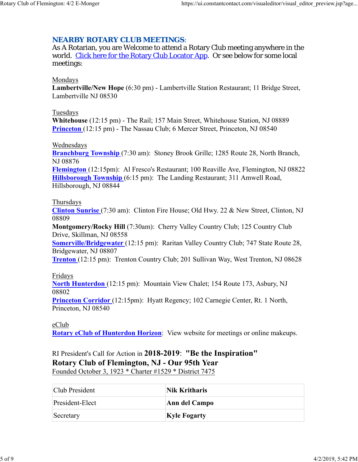# *NEARBY ROTARY CLUB MEETINGS:*

As A Rotarian, you are Welcome to attend a Rotary Club meeting anywhere in the world. Click here for the Rotary Club Locator App. Or see below for some local meetings:

#### Mondays

**Lambertville/New Hope** (6:30 pm) - Lambertville Station Restaurant; 11 Bridge Street, Lambertville NJ 08530

#### Tuesdays

**Whitehouse** (12:15 pm) - The Rail; 157 Main Street, Whitehouse Station, NJ 08889 **Princeton** (12:15 pm) - The Nassau Club; 6 Mercer Street, Princeton, NJ 08540

#### Wednesdays

**Branchburg Township** (7:30 am): Stoney Brook Grille; 1285 Route 28, North Branch, NJ 08876

**Flemington** (12:15pm): Al Fresco's Restaurant; 100 Reaville Ave, Flemington, NJ 08822 **Hillsborough Township** (6:15 pm): The Landing Restaurant; 311 Amwell Road, Hillsborough, NJ 08844

#### Thursdays

**Clinton Sunrise** (7:30 am): Clinton Fire House; Old Hwy. 22 & New Street, Clinton, NJ 08809

**Montgomery/Rocky Hill** (7:30am): Cherry Valley Country Club; 125 Country Club Drive, Skillman, NJ 08558

**Somerville/Bridgewater** (12:15 pm): Raritan Valley Country Club; 747 State Route 28, Bridgewater, NJ 08807

**Trenton** (12:15 pm): Trenton Country Club; 201 Sullivan Way, West Trenton, NJ 08628

#### Fridays

**North Hunterdon** (12:15 pm): Mountain View Chalet; 154 Route 173, Asbury, NJ 08802

**Princeton Corridor** (12:15pm): Hyatt Regency; 102 Carnegie Center, Rt. 1 North, Princeton, NJ 08540

## eClub

**Rotary eClub of Hunterdon Horizon**: View website for meetings or online makeups.

RI President's Call for Action in **2018-2019**: **"Be the Inspiration" Rotary Club of Flemington, NJ - Our 95th Year** Founded October 3, 1923 \* Charter #1529 \* District 7475

| Club President  | Nik Kritharis<br>Ann del Campo |  |
|-----------------|--------------------------------|--|
| President-Elect |                                |  |
| Secretary       | <b>Kyle Fogarty</b>            |  |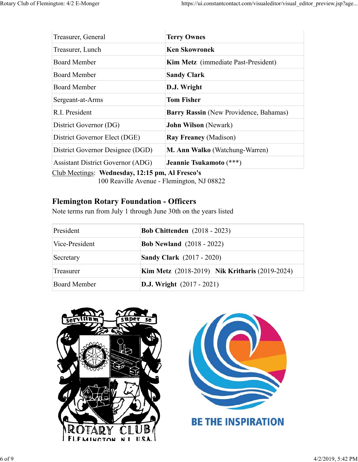| Treasurer, General                              | <b>Terry Ownes</b>                     |  |  |
|-------------------------------------------------|----------------------------------------|--|--|
| Treasurer, Lunch                                | <b>Ken Skowronek</b>                   |  |  |
| <b>Board Member</b>                             | Kim Metz (immediate Past-President)    |  |  |
| <b>Board Member</b>                             | <b>Sandy Clark</b>                     |  |  |
| Board Member                                    | D.J. Wright                            |  |  |
| Sergeant-at-Arms                                | <b>Tom Fisher</b>                      |  |  |
| R.I. President                                  | Barry Rassin (New Providence, Bahamas) |  |  |
| District Governor (DG)                          | <b>John Wilson</b> (Newark)            |  |  |
| District Governor Elect (DGE)                   | <b>Ray Freaney (Madison)</b>           |  |  |
| District Governor Designee (DGD)                | M. Ann Walko (Watchung-Warren)         |  |  |
| <b>Assistant District Governor (ADG)</b>        | Jeannie Tsukamoto (***)                |  |  |
| Club Meetings: Wednesday, 12:15 pm, Al Fresco's |                                        |  |  |

100 Reaville Avenue - Flemington, NJ 08822

# **Flemington Rotary Foundation - Officers**

Note terms run from July 1 through June 30th on the years listed

| President           | <b>Bob Chittenden</b> (2018 - 2023)                   |
|---------------------|-------------------------------------------------------|
| Vice-President      | <b>Bob Newland</b> (2018 - 2022)                      |
| Secretary           | <b>Sandy Clark</b> (2017 - 2020)                      |
| Treasurer           | <b>Kim Metz</b> (2018-2019) Nik Kritharis (2019-2024) |
| <b>Board Member</b> | <b>D.J.</b> Wright $(2017 - 2021)$                    |



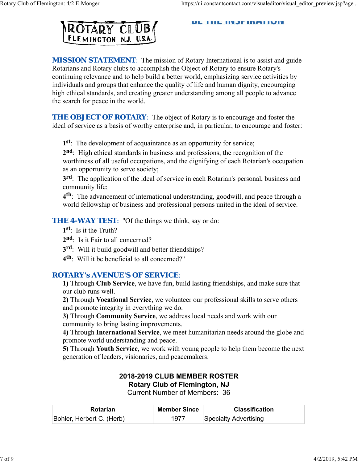#### DE THE HYJFINATIVIY



**MISSION STATEMENT:** The mission of Rotary International is to assist and guide Rotarians and Rotary clubs to accomplish the Object of Rotary to ensure Rotary's continuing relevance and to help build a better world, emphasizing service activities by individuals and groups that enhance the quality of life and human dignity, encouraging high ethical standards, and creating greater understanding among all people to advance the search for peace in the world.

*THE OBJECT OF ROTARY*: The object of Rotary is to encourage and foster the ideal of service as a basis of worthy enterprise and, in particular, to encourage and foster:

**1st**: The development of acquaintance as an opportunity for service;

**2nd**: High ethical standards in business and professions, the recognition of the worthiness of all useful occupations, and the dignifying of each Rotarian's occupation as an opportunity to serve society;

**3rd**: The application of the ideal of service in each Rotarian's personal, business and community life;

**4th**: The advancement of international understanding, goodwill, and peace through a world fellowship of business and professional persons united in the ideal of service.

**THE 4-WAY TEST:** "Of the things we think, say or do:

**1st**: Is it the Truth?

- 2<sup>nd</sup>: Is it Fair to all concerned?
- **3rd**: Will it build goodwill and better friendships?
- **4th**: Will it be beneficial to all concerned?"

#### *ROTARY's AVENUE'S OF SERVICE*:

**1)** Through **Club Service**, we have fun, build lasting friendships, and make sure that our club runs well.

**2)** Through **Vocational Service**, we volunteer our professional skills to serve others and promote integrity in everything we do.

**3)** Through **Community Service**, we address local needs and work with our community to bring lasting improvements.

**4)** Through **International Service**, we meet humanitarian needs around the globe and promote world understanding and peace.

**5)** Through **Youth Service**, we work with young people to help them become the next generation of leaders, visionaries, and peacemakers.

#### **2018-2019 CLUB MEMBER ROSTER Rotary Club of Flemington, NJ** Current Number of Members: 36

| <b>Rotarian</b>           | <b>Member Since</b> | <b>Classification</b> |
|---------------------------|---------------------|-----------------------|
| Bohler, Herbert C. (Herb) | 1977                | Specialty Advertising |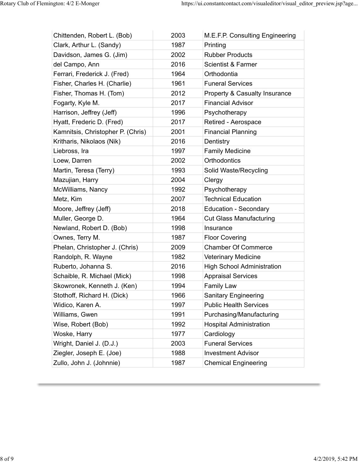| Chittenden, Robert L. (Bob)       | 2003 | M.E.F.P. Consulting Engineering   |
|-----------------------------------|------|-----------------------------------|
| Clark, Arthur L. (Sandy)          | 1987 | Printing                          |
| Davidson, James G. (Jim)          | 2002 | <b>Rubber Products</b>            |
| del Campo, Ann                    | 2016 | <b>Scientist &amp; Farmer</b>     |
| Ferrari, Frederick J. (Fred)      | 1964 | Orthodontia                       |
| Fisher, Charles H. (Charlie)      | 1961 | <b>Funeral Services</b>           |
| Fisher, Thomas H. (Tom)           | 2012 | Property & Casualty Insurance     |
| Fogarty, Kyle M.                  | 2017 | <b>Financial Advisor</b>          |
| Harrison, Jeffrey (Jeff)          | 1996 | Psychotherapy                     |
| Hyatt, Frederic D. (Fred)         | 2017 | Retired - Aerospace               |
| Kamnitsis, Christopher P. (Chris) | 2001 | <b>Financial Planning</b>         |
| Kritharis, Nikolaos (Nik)         | 2016 | Dentistry                         |
| Liebross, Ira                     | 1997 | <b>Family Medicine</b>            |
| Loew, Darren                      | 2002 | <b>Orthodontics</b>               |
| Martin, Teresa (Terry)            | 1993 | Solid Waste/Recycling             |
| Mazujian, Harry                   | 2004 | Clergy                            |
| McWilliams, Nancy                 | 1992 | Psychotherapy                     |
| Metz, Kim                         | 2007 | <b>Technical Education</b>        |
| Moore, Jeffrey (Jeff)             | 2018 | <b>Education - Secondary</b>      |
| Muller, George D.                 | 1964 | <b>Cut Glass Manufacturing</b>    |
| Newland, Robert D. (Bob)          | 1998 | Insurance                         |
| Ownes, Terry M.                   | 1987 | <b>Floor Covering</b>             |
| Phelan, Christopher J. (Chris)    | 2009 | <b>Chamber Of Commerce</b>        |
| Randolph, R. Wayne                | 1982 | <b>Veterinary Medicine</b>        |
| Ruberto, Johanna S.               | 2016 | <b>High School Administration</b> |
| Schaible, R. Michael (Mick)       | 1998 | <b>Appraisal Services</b>         |
| Skowronek, Kenneth J. (Ken)       | 1994 | <b>Family Law</b>                 |
| Stothoff, Richard H. (Dick)       | 1966 | <b>Sanitary Engineering</b>       |
| Widico, Karen A.                  | 1997 | <b>Public Health Services</b>     |
| Williams, Gwen                    | 1991 | Purchasing/Manufacturing          |
| Wise, Robert (Bob)                | 1992 | <b>Hospital Administration</b>    |
| Woske, Harry                      | 1977 | Cardiology                        |
| Wright, Daniel J. (D.J.)          | 2003 | <b>Funeral Services</b>           |
| Ziegler, Joseph E. (Joe)          | 1988 | <b>Investment Advisor</b>         |
| Zullo, John J. (Johnnie)          | 1987 | <b>Chemical Engineering</b>       |